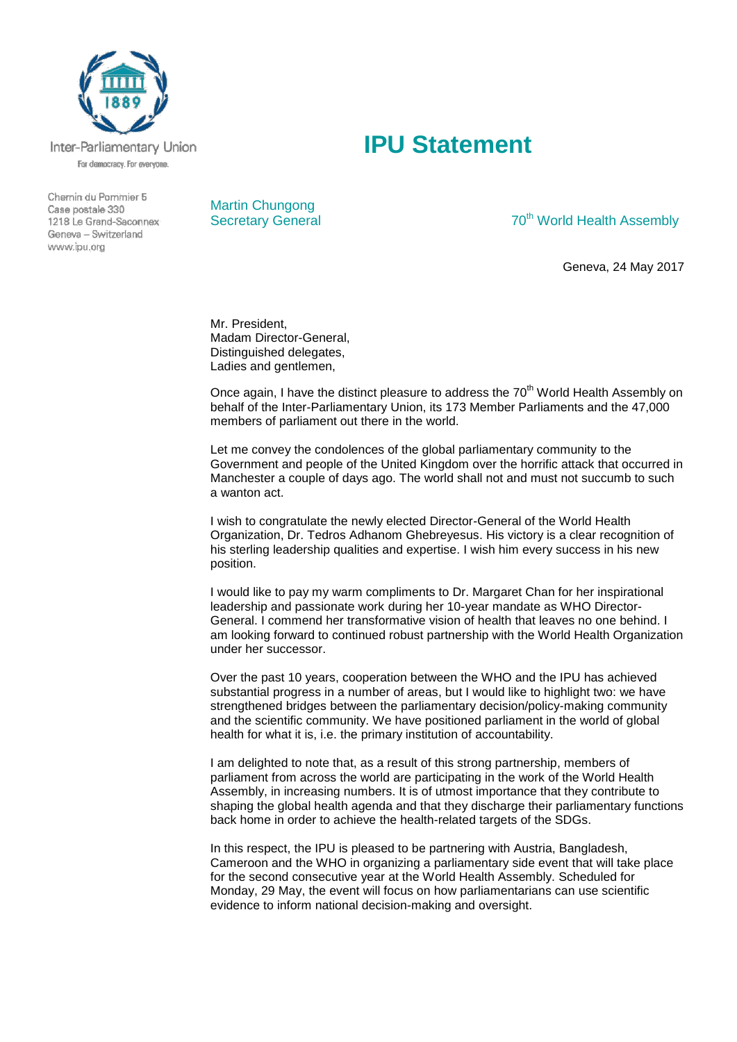

Inter-Parliamentary Union For democracy. For everyone.

Chemin du Pommier 5 Case postale 330 1218 Le Grand-Saconnex Geneva - Switzerland www.ipu.org



## Secretary General 70<sup>th</sup> World Health Assembly

Geneva, 24 May 2017

Mr. President, Madam Director-General, Distinguished delegates, Ladies and gentlemen,

Once again, I have the distinct pleasure to address the 70<sup>th</sup> World Health Assembly on behalf of the Inter-Parliamentary Union, its 173 Member Parliaments and the 47,000 members of parliament out there in the world.

**IPU Statement**

Let me convey the condolences of the global parliamentary community to the Government and people of the United Kingdom over the horrific attack that occurred in Manchester a couple of days ago. The world shall not and must not succumb to such a wanton act.

I wish to congratulate the newly elected Director-General of the World Health Organization, Dr. Tedros Adhanom Ghebreyesus. His victory is a clear recognition of his sterling leadership qualities and expertise. I wish him every success in his new position.

I would like to pay my warm compliments to Dr. Margaret Chan for her inspirational leadership and passionate work during her 10-year mandate as WHO Director-General. I commend her transformative vision of health that leaves no one behind. I am looking forward to continued robust partnership with the World Health Organization under her successor.

Over the past 10 years, cooperation between the WHO and the IPU has achieved substantial progress in a number of areas, but I would like to highlight two: we have strengthened bridges between the parliamentary decision/policy-making community and the scientific community. We have positioned parliament in the world of global health for what it is, i.e. the primary institution of accountability.

I am delighted to note that, as a result of this strong partnership, members of parliament from across the world are participating in the work of the World Health Assembly, in increasing numbers. It is of utmost importance that they contribute to shaping the global health agenda and that they discharge their parliamentary functions back home in order to achieve the health-related targets of the SDGs.

In this respect, the IPU is pleased to be partnering with Austria, Bangladesh, Cameroon and the WHO in organizing a parliamentary side event that will take place for the second consecutive year at the World Health Assembly. Scheduled for Monday, 29 May, the event will focus on how parliamentarians can use scientific evidence to inform national decision-making and oversight.